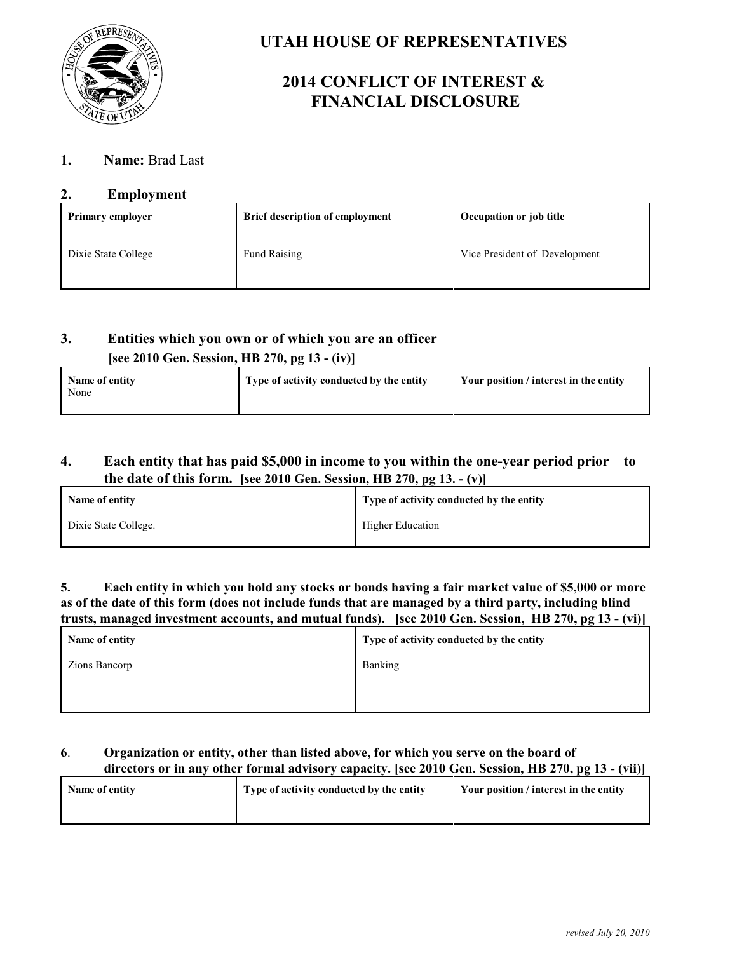

## **UTAH HOUSE OF REPRESENTATIVES**

# **2014 CONFLICT OF INTEREST & FINANCIAL DISCLOSURE**

### **1. Name:** Brad Last

### **2. Employment**

| <b>Primary employer</b> | <b>Brief description of employment</b> | <b>Occupation or job title</b> |
|-------------------------|----------------------------------------|--------------------------------|
| Dixie State College     | Fund Raising                           | Vice President of Development  |

## **3. Entities which you own or of which you are an officer [see 2010 Gen. Session, HB 270, pg 13 - (iv)]**

| Name of entity<br>None | Type of activity conducted by the entity | Your position / interest in the entity |
|------------------------|------------------------------------------|----------------------------------------|
|------------------------|------------------------------------------|----------------------------------------|

### **4. Each entity that has paid \$5,000 in income to you within the one-year period prior to the date of this form. [see 2010 Gen. Session, HB 270, pg 13. - (v)]**

| Name of entity       | Type of activity conducted by the entity |
|----------------------|------------------------------------------|
| Dixie State College. | <b>Higher Education</b>                  |

**5. Each entity in which you hold any stocks or bonds having a fair market value of \$5,000 or more as of the date of this form (does not include funds that are managed by a third party, including blind trusts, managed investment accounts, and mutual funds). [see 2010 Gen. Session, HB 270, pg 13 - (vi)]**

| Name of entity | Type of activity conducted by the entity |
|----------------|------------------------------------------|
| Zions Bancorp  | Banking                                  |
|                |                                          |
|                |                                          |

#### **6**. **Organization or entity, other than listed above, for which you serve on the board of directors or in any other formal advisory capacity. [see 2010 Gen. Session, HB 270, pg 13 - (vii)]**

| Name of entity | Type of activity conducted by the entity | Your position / interest in the entity |
|----------------|------------------------------------------|----------------------------------------|
|                |                                          |                                        |